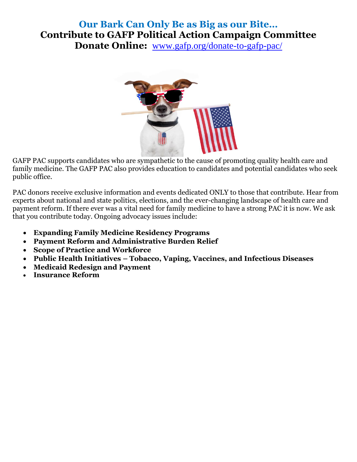## **Our Bark Can Only Be as Big as our Bite… Contribute to GAFP Political Action Campaign Committee Donate Online:** [www.gafp.org/donate-to-gafp-pac/](http://www.gafp.org/donate-to-gafp-pac/)



GAFP PAC supports candidates who are sympathetic to the cause of promoting quality health care and family medicine. The GAFP PAC also provides education to candidates and potential candidates who seek public office.

PAC donors receive exclusive information and events dedicated ONLY to those that contribute. Hear from experts about national and state politics, elections, and the ever-changing landscape of health care and payment reform. If there ever was a vital need for family medicine to have a strong PAC it is now. We ask that you contribute today. Ongoing advocacy issues include:

- **Expanding Family Medicine Residency Programs**
- **Payment Reform and Administrative Burden Relief**
- **Scope of Practice and Workforce**
- **Public Health Initiatives – Tobacco, Vaping, Vaccines, and Infectious Diseases**
- **Medicaid Redesign and Payment**
- **Insurance Reform**